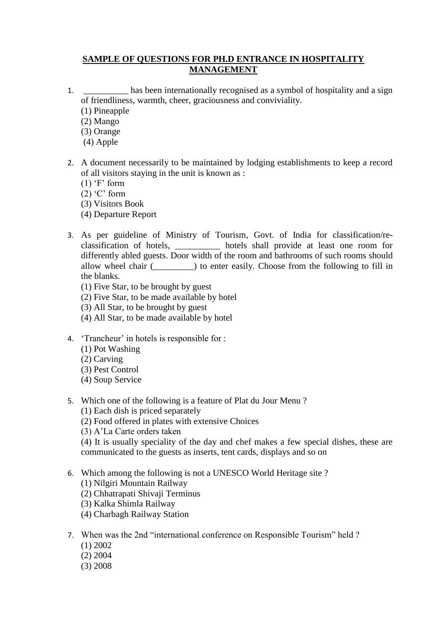## **SAMPLE OF QUESTIONS FOR PH.D ENTRANCE IN HOSPITALITY MANAGEMENT**

- 1. \_\_\_\_\_\_\_\_\_\_ has been internationally recognised as a symbol of hospitality and a sign of friendliness, warmth, cheer, graciousness and conviviality.
	- (1) Pineapple
	- (2) Mango
	- (3) Orange
	- (4) Apple
- 2. A document necessarily to be maintained by lodging establishments to keep a record of all visitors staying in the unit is known as :
	- $(1)$  'F' form
	- $(2)$  'C' form
	- (3) Visitors Book
	- (4) Departure Report
- 3. As per guideline of Ministry of Tourism, Govt. of India for classification/reclassification of hotels, \_\_\_\_\_\_\_\_\_\_ hotels shall provide at least one room for differently abled guests. Door width of the room and bathrooms of such rooms should allow wheel chair (\_\_\_\_\_\_\_\_\_) to enter easily. Choose from the following to fill in the blanks.
	- (1) Five Star, to be brought by guest
	- (2) Five Star, to be made available by hotel
	- (3) All Star, to be brought by guest
	- (4) All Star, to be made available by hotel
- 4. "Trancheur" in hotels is responsible for :
	- (1) Pot Washing
	- (2) Carving
	- (3) Pest Control
	- (4) Soup Service
- 5. Which one of the following is a feature of Plat du Jour Menu ?
	- (1) Each dish is priced separately
	- (2) Food offered in plates with extensive Choices
	- (3) A"La Carte orders taken

(4) It is usually speciality of the day and chef makes a few special dishes, these are communicated to the guests as inserts, tent cards, displays and so on

- 6. Which among the following is not a UNESCO World Heritage site ?
	- (1) Nilgiri Mountain Railway
	- (2) Chhatrapati Shivaji Terminus
	- (3) Kalka Shimla Railway
	- (4) Charbagh Railway Station
- 7. When was the 2nd "international conference on Responsible Tourism" held ?
	- (1) 2002
	- (2) 2004
	- (3) 2008